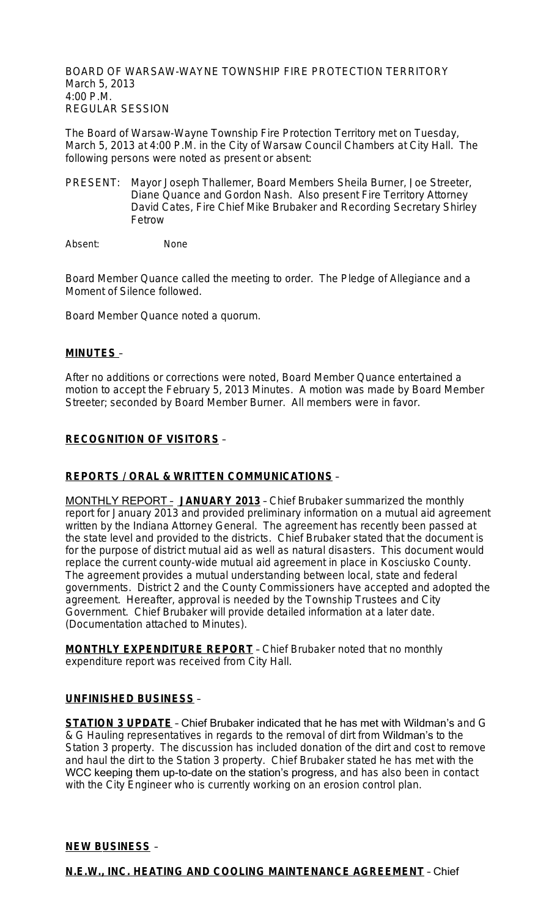BOARD OF WARSAW-WAYNE TOWNSHIP FIRE PROTECTION TERRITORY March 5, 2013 4:00 P.M. REGULAR SESSION

The Board of Warsaw-Wayne Township Fire Protection Territory met on Tuesday, March 5, 2013 at 4:00 P.M. in the City of Warsaw Council Chambers at City Hall. The following persons were noted as present or absent:

PRESENT: Mayor Joseph Thallemer, Board Members Sheila Burner, Joe Streeter, Diane Quance and Gordon Nash. Also present Fire Territory Attorney David Cates, Fire Chief Mike Brubaker and Recording Secretary Shirley Fetrow

Absent: None

Board Member Quance called the meeting to order. The Pledge of Allegiance and a Moment of Silence followed.

Board Member Quance noted a quorum.

## **MINUTES** –

After no additions or corrections were noted, Board Member Quance entertained a motion to accept the February 5, 2013 Minutes. A motion was made by Board Member Streeter; seconded by Board Member Burner. All members were in favor.

## **RECOGNITION OF VISITORS** –

## **REPORTS / ORAL & WRITTEN COMMUNICATIONS** –

MONTHLY REPORT – **JANUARY 2013** – Chief Brubaker summarized the monthly report for January 2013 and provided preliminary information on a mutual aid agreement written by the Indiana Attorney General. The agreement has recently been passed at the state level and provided to the districts. Chief Brubaker stated that the document is for the purpose of district mutual aid as well as natural disasters. This document would replace the current county-wide mutual aid agreement in place in Kosciusko County. The agreement provides a mutual understanding between local, state and federal governments. District 2 and the County Commissioners have accepted and adopted the agreement. Hereafter, approval is needed by the Township Trustees and City Government. Chief Brubaker will provide detailed information at a later date. (Documentation attached to Minutes).

**MONTHLY EXPENDITURE REPORT** – Chief Brubaker noted that no monthly expenditure report was received from City Hall.

#### **UNFINISHED BUSINESS** –

**STATION 3 UPDATE** – Chief Brubaker indicated that he has met with Wildman's and G & G Hauling representatives in regards to the removal of dirt from Wildman's to the Station 3 property. The discussion has included donation of the dirt and cost to remove and haul the dirt to the Station 3 property. Chief Brubaker stated he has met with the WCC keeping them up-to-date on the station's progress, and has also been in contact with the City Engineer who is currently working on an erosion control plan.

### **NEW BUSINESS** –

#### **N.E.W., INC. HEATING AND COOLING MAINTENANCE AGREEMENT** – Chief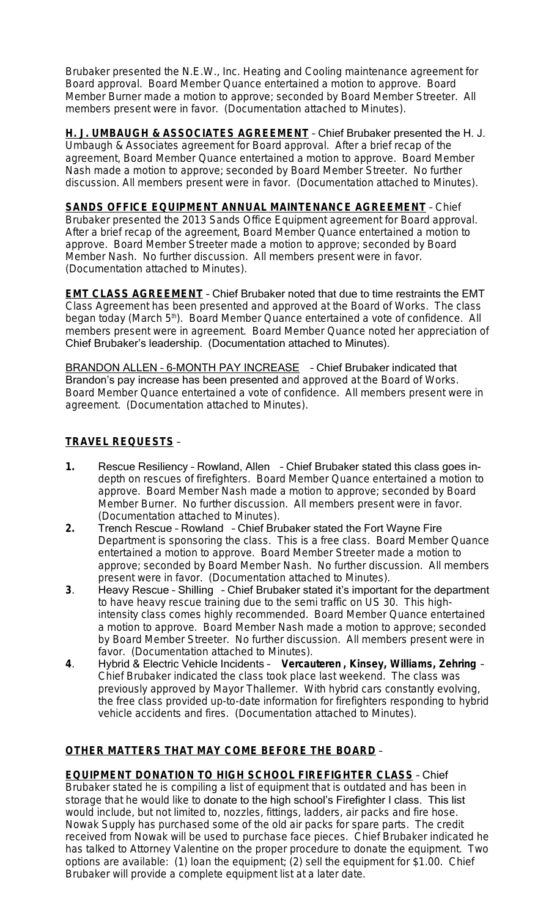Brubaker presented the N.E.W., Inc. Heating and Cooling maintenance agreement for Board approval. Board Member Quance entertained a motion to approve. Board Member Burner made a motion to approve; seconded by Board Member Streeter. All members present were in favor. (Documentation attached to Minutes).

**H. J. UMBAUGH & ASSOCIATES AGREEMENT** – Chief Brubaker presented the H. J. Umbaugh & Associates agreement for Board approval. After a brief recap of the agreement, Board Member Quance entertained a motion to approve. Board Member Nash made a motion to approve; seconded by Board Member Streeter. No further discussion. All members present were in favor. (Documentation attached to Minutes).

**SANDS OFFICE EQUIPMENT ANNUAL MAINTENANCE AGREEMENT** – Chief Brubaker presented the 2013 Sands Office Equipment agreement for Board approval. After a brief recap of the agreement, Board Member Quance entertained a motion to approve. Board Member Streeter made a motion to approve; seconded by Board Member Nash. No further discussion. All members present were in favor. (Documentation attached to Minutes).

**EMT CLASS AGREEMENT** – Chief Brubaker noted that due to time restraints the EMT Class Agreement has been presented and approved at the Board of Works. The class began today (March 5<sup>th</sup>). Board Member Quance entertained a vote of confidence. All members present were in agreement. Board Member Quance noted her appreciation of Chief Brubaker's leadership. (Documentation attached to Minutes).

BRANDON ALLEN – 6-MONTH PAY INCREASE – Chief Brubaker indicated that Brandon's pay increase has been presented and approved at the Board of Works. Board Member Quance entertained a vote of confidence. All members present were in agreement. (Documentation attached to Minutes).

# **TRAVEL REQUESTS** –

- **1.** Rescue Resiliency Rowland, Allen Chief Brubaker stated this class goes indepth on rescues of firefighters. Board Member Quance entertained a motion to approve. Board Member Nash made a motion to approve; seconded by Board Member Burner. No further discussion. All members present were in favor. (Documentation attached to Minutes).
- **2.** Trench Rescue Rowland Chief Brubaker stated the Fort Wayne Fire Department is sponsoring the class. This is a free class. Board Member Quance entertained a motion to approve. Board Member Streeter made a motion to approve; seconded by Board Member Nash. No further discussion. All members present were in favor. (Documentation attached to Minutes).
- **3**. Heavy Rescue Shilling Chief Brubaker stated it's important for the department to have heavy rescue training due to the semi traffic on US 30. This highintensity class comes highly recommended. Board Member Quance entertained a motion to approve. Board Member Nash made a motion to approve; seconded by Board Member Streeter. No further discussion. All members present were in favor. (Documentation attached to Minutes).
- **4**. Hybrid & Electric Vehicle Incidents **Vercauteren , Kinsey, Williams, Zehring** Chief Brubaker indicated the class took place last weekend. The class was previously approved by Mayor Thallemer. With hybrid cars constantly evolving, the free class provided up-to-date information for firefighters responding to hybrid vehicle accidents and fires. (Documentation attached to Minutes).

# **OTHER MATTERS THAT MAY COME BEFORE THE BOARD** –

**EQUIPMENT DONATION TO HIGH SCHOOL FIREFIGHTER CLASS** – Chief Brubaker stated he is compiling a list of equipment that is outdated and has been in storage that he would like to donate to the high school's Firefighter I class. This list would include, but not limited to, nozzles, fittings, ladders, air packs and fire hose. Nowak Supply has purchased some of the old air packs for spare parts. The credit received from Nowak will be used to purchase face pieces. Chief Brubaker indicated he has talked to Attorney Valentine on the proper procedure to donate the equipment. Two options are available: (1) loan the equipment; (2) sell the equipment for \$1.00. Chief Brubaker will provide a complete equipment list at a later date.